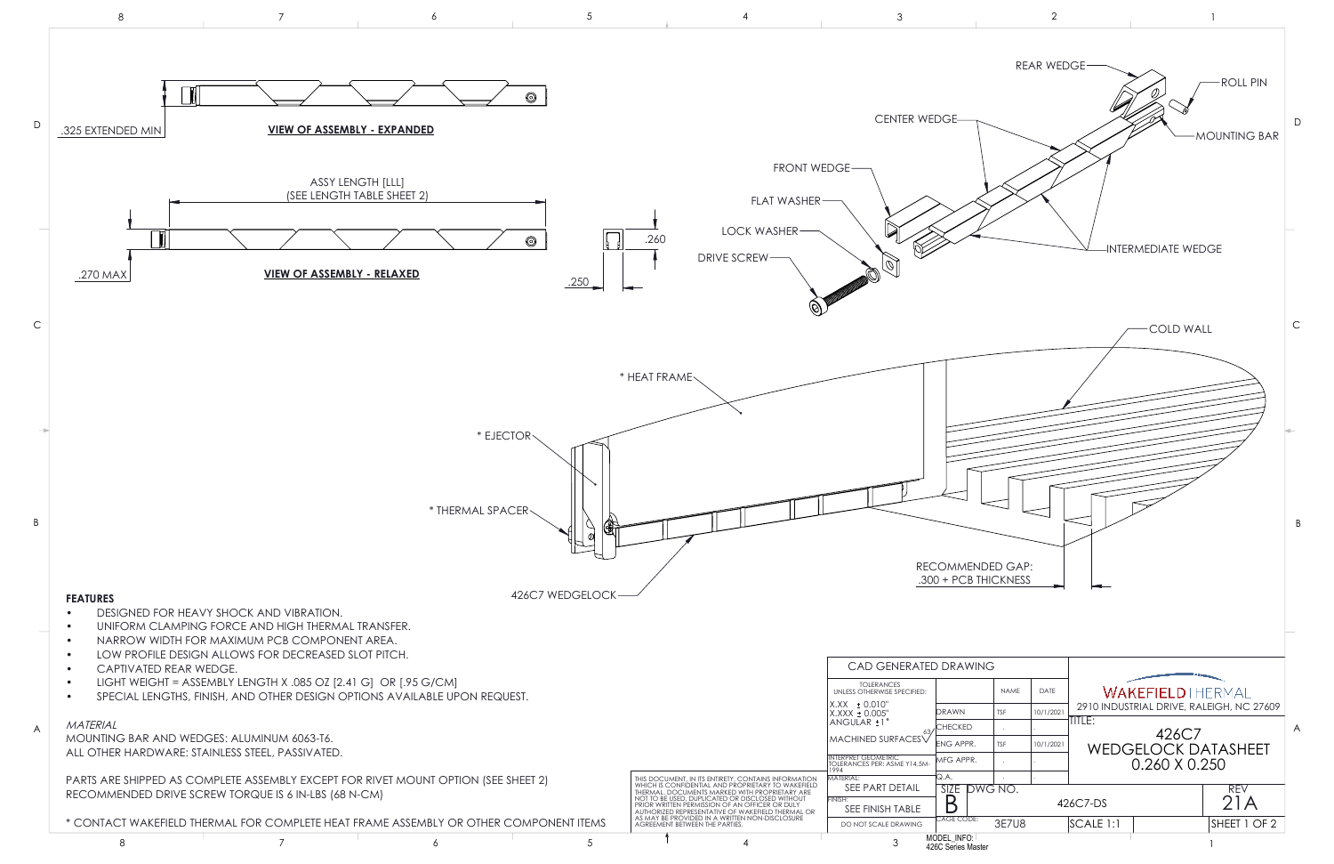